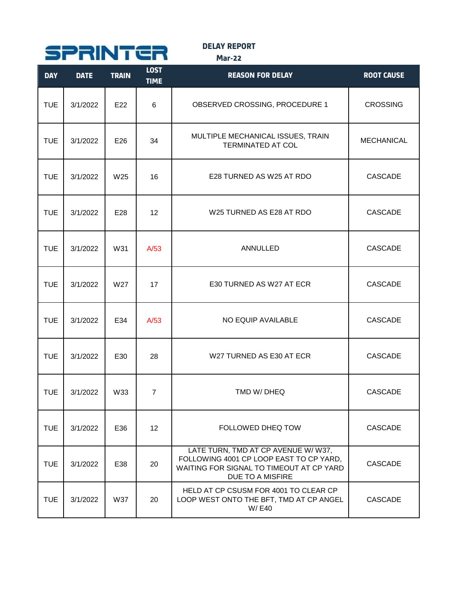

**DELAY REPORT**

**Mar-22**

| <b>DAY</b> | <b>DATE</b> | <b>TRAIN</b> | <b>LOST</b><br><b>TIME</b> | <b>REASON FOR DELAY</b>                                                                                                                        | <b>ROOT CAUSE</b> |
|------------|-------------|--------------|----------------------------|------------------------------------------------------------------------------------------------------------------------------------------------|-------------------|
| <b>TUE</b> | 3/1/2022    | E22          | 6                          | OBSERVED CROSSING, PROCEDURE 1                                                                                                                 | <b>CROSSING</b>   |
| <b>TUE</b> | 3/1/2022    | E26          | 34                         | MULTIPLE MECHANICAL ISSUES, TRAIN<br><b>TERMINATED AT COL</b>                                                                                  | <b>MECHANICAL</b> |
| <b>TUE</b> | 3/1/2022    | W25          | 16                         | E28 TURNED AS W25 AT RDO                                                                                                                       | <b>CASCADE</b>    |
| <b>TUE</b> | 3/1/2022    | E28          | 12                         | W25 TURNED AS E28 AT RDO                                                                                                                       | <b>CASCADE</b>    |
| <b>TUE</b> | 3/1/2022    | W31          | A/53                       | <b>ANNULLED</b>                                                                                                                                | <b>CASCADE</b>    |
| <b>TUE</b> | 3/1/2022    | W27          | 17                         | E30 TURNED AS W27 AT ECR                                                                                                                       | <b>CASCADE</b>    |
| <b>TUE</b> | 3/1/2022    | E34          | A/53                       | NO EQUIP AVAILABLE                                                                                                                             | <b>CASCADE</b>    |
| <b>TUE</b> | 3/1/2022    | E30          | 28                         | W27 TURNED AS E30 AT ECR                                                                                                                       | <b>CASCADE</b>    |
| <b>TUE</b> | 3/1/2022    | W33          | $\overline{7}$             | TMD W/DHEQ                                                                                                                                     | <b>CASCADE</b>    |
| <b>TUE</b> | 3/1/2022    | E36          | 12 <sup>°</sup>            | FOLLOWED DHEQ TOW                                                                                                                              | <b>CASCADE</b>    |
| <b>TUE</b> | 3/1/2022    | E38          | 20                         | LATE TURN, TMD AT CP AVENUE W/ W37,<br>FOLLOWING 4001 CP LOOP EAST TO CP YARD,<br>WAITING FOR SIGNAL TO TIMEOUT AT CP YARD<br>DUE TO A MISFIRE | <b>CASCADE</b>    |
| <b>TUE</b> | 3/1/2022    | <b>W37</b>   | 20                         | HELD AT CP CSUSM FOR 4001 TO CLEAR CP<br>LOOP WEST ONTO THE BFT, TMD AT CP ANGEL<br>W/E40                                                      | CASCADE           |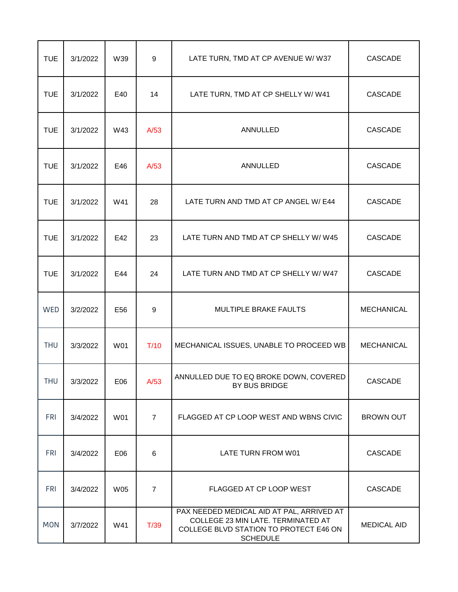| <b>TUE</b> | 3/1/2022 | W39        | $\boldsymbol{9}$ | LATE TURN, TMD AT CP AVENUE W/ W37                                                                                                           | <b>CASCADE</b>     |
|------------|----------|------------|------------------|----------------------------------------------------------------------------------------------------------------------------------------------|--------------------|
| <b>TUE</b> | 3/1/2022 | E40        | 14               | LATE TURN, TMD AT CP SHELLY W/ W41                                                                                                           | <b>CASCADE</b>     |
| <b>TUE</b> | 3/1/2022 | W43        | A/53             | <b>ANNULLED</b>                                                                                                                              | <b>CASCADE</b>     |
| <b>TUE</b> | 3/1/2022 | E46        | A/53             | ANNULLED                                                                                                                                     | <b>CASCADE</b>     |
| <b>TUE</b> | 3/1/2022 | W41        | 28               | LATE TURN AND TMD AT CP ANGEL W/ E44                                                                                                         | CASCADE            |
| <b>TUE</b> | 3/1/2022 | E42        | 23               | LATE TURN AND TMD AT CP SHELLY W/W45                                                                                                         | CASCADE            |
| <b>TUE</b> | 3/1/2022 | E44        | 24               | LATE TURN AND TMD AT CP SHELLY W/ W47                                                                                                        | CASCADE            |
| WED        | 3/2/2022 | E56        | $\boldsymbol{9}$ | MULTIPLE BRAKE FAULTS                                                                                                                        | <b>MECHANICAL</b>  |
| <b>THU</b> | 3/3/2022 | W01        | T/10             | MECHANICAL ISSUES, UNABLE TO PROCEED WB                                                                                                      | <b>MECHANICAL</b>  |
| <b>THU</b> | 3/3/2022 | E06        | A/53             | ANNULLED DUE TO EQ BROKE DOWN, COVERED<br>BY BUS BRIDGE                                                                                      | CASCADE            |
| <b>FRI</b> | 3/4/2022 | W01        | $\overline{7}$   | FLAGGED AT CP LOOP WEST AND WBNS CIVIC                                                                                                       | <b>BROWN OUT</b>   |
| <b>FRI</b> | 3/4/2022 | E06        | 6                | LATE TURN FROM W01                                                                                                                           | <b>CASCADE</b>     |
| <b>FRI</b> | 3/4/2022 | <b>W05</b> | $\overline{7}$   | FLAGGED AT CP LOOP WEST                                                                                                                      | CASCADE            |
| <b>MON</b> | 3/7/2022 | W41        | T/39             | PAX NEEDED MEDICAL AID AT PAL, ARRIVED AT<br>COLLEGE 23 MIN LATE. TERMINATED AT<br>COLLEGE BLVD STATION TO PROTECT E46 ON<br><b>SCHEDULE</b> | <b>MEDICAL AID</b> |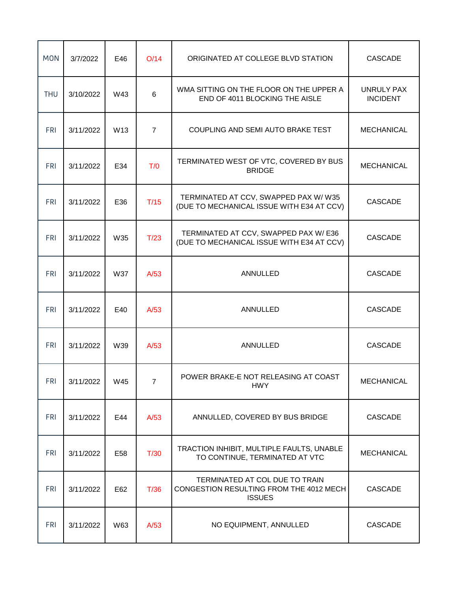| <b>MON</b> | 3/7/2022  | E46             | O/14           | ORIGINATED AT COLLEGE BLVD STATION                                                         | <b>CASCADE</b>                |
|------------|-----------|-----------------|----------------|--------------------------------------------------------------------------------------------|-------------------------------|
| <b>THU</b> | 3/10/2022 | W43             | 6              | WMA SITTING ON THE FLOOR ON THE UPPER A<br>END OF 4011 BLOCKING THE AISLE                  | UNRULY PAX<br><b>INCIDENT</b> |
| <b>FRI</b> | 3/11/2022 | W <sub>13</sub> | $\overline{7}$ | COUPLING AND SEMI AUTO BRAKE TEST                                                          | <b>MECHANICAL</b>             |
| <b>FRI</b> | 3/11/2022 | E34             | T/0            | TERMINATED WEST OF VTC, COVERED BY BUS<br><b>BRIDGE</b>                                    | <b>MECHANICAL</b>             |
| <b>FRI</b> | 3/11/2022 | E36             | T/15           | TERMINATED AT CCV, SWAPPED PAX W/W35<br>(DUE TO MECHANICAL ISSUE WITH E34 AT CCV)          | <b>CASCADE</b>                |
| <b>FRI</b> | 3/11/2022 | W35             | T/23           | TERMINATED AT CCV, SWAPPED PAX W/E36<br>(DUE TO MECHANICAL ISSUE WITH E34 AT CCV)          | <b>CASCADE</b>                |
| <b>FRI</b> | 3/11/2022 | W37             | A/53           | ANNULLED                                                                                   | <b>CASCADE</b>                |
| <b>FRI</b> | 3/11/2022 | E40             | A/53           | ANNULLED                                                                                   | <b>CASCADE</b>                |
| <b>FRI</b> | 3/11/2022 | W39             | A/53           | ANNULLED                                                                                   | <b>CASCADE</b>                |
| <b>FRI</b> | 3/11/2022 | W45             | $\overline{7}$ | POWER BRAKE-E NOT RELEASING AT COAST<br><b>HWY</b>                                         | <b>MECHANICAL</b>             |
| <b>FRI</b> | 3/11/2022 | E44             | A/53           | ANNULLED, COVERED BY BUS BRIDGE                                                            | CASCADE                       |
| <b>FRI</b> | 3/11/2022 | E58             | T/30           | TRACTION INHIBIT, MULTIPLE FAULTS, UNABLE<br>TO CONTINUE, TERMINATED AT VTC                | <b>MECHANICAL</b>             |
| <b>FRI</b> | 3/11/2022 | E62             | T/36           | TERMINATED AT COL DUE TO TRAIN<br>CONGESTION RESULTING FROM THE 4012 MECH<br><b>ISSUES</b> | CASCADE                       |
| <b>FRI</b> | 3/11/2022 | W63             | A/53           | NO EQUIPMENT, ANNULLED                                                                     | CASCADE                       |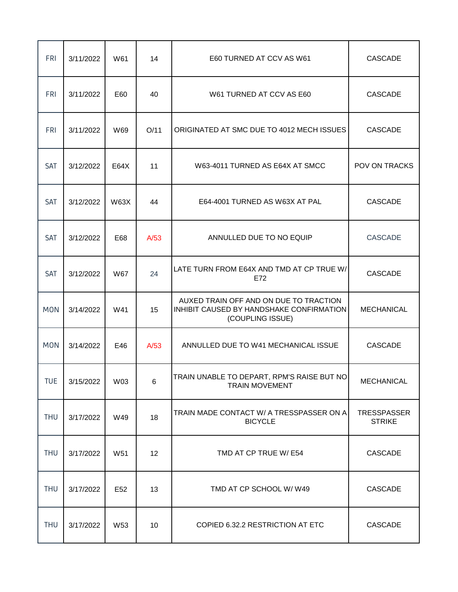| <b>FRI</b> | 3/11/2022 | W61         | 14   | E60 TURNED AT CCV AS W61                                                                               | <b>CASCADE</b>               |
|------------|-----------|-------------|------|--------------------------------------------------------------------------------------------------------|------------------------------|
| <b>FRI</b> | 3/11/2022 | E60         | 40   | W61 TURNED AT CCV AS E60                                                                               | <b>CASCADE</b>               |
| <b>FRI</b> | 3/11/2022 | W69         | O/11 | ORIGINATED AT SMC DUE TO 4012 MECH ISSUES                                                              | <b>CASCADE</b>               |
| <b>SAT</b> | 3/12/2022 | E64X        | 11   | W63-4011 TURNED AS E64X AT SMCC                                                                        | POV ON TRACKS                |
| <b>SAT</b> | 3/12/2022 | <b>W63X</b> | 44   | E64-4001 TURNED AS W63X AT PAL                                                                         | <b>CASCADE</b>               |
| <b>SAT</b> | 3/12/2022 | E68         | A/53 | ANNULLED DUE TO NO EQUIP                                                                               | <b>CASCADE</b>               |
| SAT        | 3/12/2022 | W67         | 24   | LATE TURN FROM E64X AND TMD AT CP TRUE W/<br>E72                                                       | <b>CASCADE</b>               |
| <b>MON</b> | 3/14/2022 | W41         | 15   | AUXED TRAIN OFF AND ON DUE TO TRACTION<br>INHIBIT CAUSED BY HANDSHAKE CONFIRMATION<br>(COUPLING ISSUE) | <b>MECHANICAL</b>            |
| <b>MON</b> | 3/14/2022 | E46         | A/53 | ANNULLED DUE TO W41 MECHANICAL ISSUE                                                                   | <b>CASCADE</b>               |
| <b>TUE</b> | 3/15/2022 | W03         | 6    | TRAIN UNABLE TO DEPART, RPM'S RAISE BUT NO<br><b>TRAIN MOVEMENT</b>                                    | <b>MECHANICAL</b>            |
| <b>THU</b> | 3/17/2022 | W49         | 18   | TRAIN MADE CONTACT W/ A TRESSPASSER ON A<br><b>BICYCLE</b>                                             | TRESSPASSER<br><b>STRIKE</b> |
| <b>THU</b> | 3/17/2022 | W51         | 12   | TMD AT CP TRUE W/ E54                                                                                  | CASCADE                      |
| <b>THU</b> | 3/17/2022 | E52         | 13   | TMD AT CP SCHOOL W/W49                                                                                 | CASCADE                      |
| <b>THU</b> | 3/17/2022 | W53         | 10   | COPIED 6.32.2 RESTRICTION AT ETC                                                                       | CASCADE                      |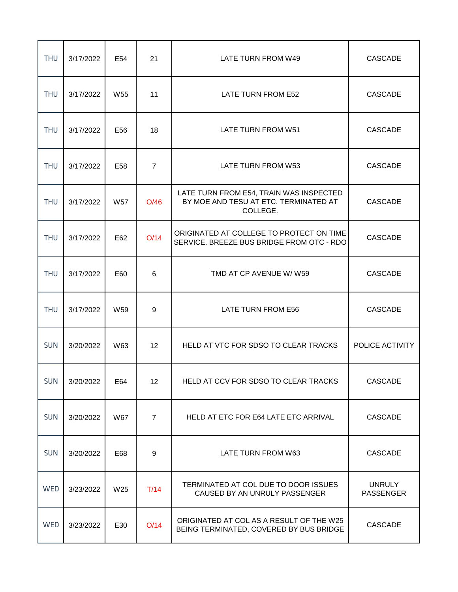| <b>THU</b> | 3/17/2022 | E54 | 21              | LATE TURN FROM W49                                                                           | <b>CASCADE</b>                    |
|------------|-----------|-----|-----------------|----------------------------------------------------------------------------------------------|-----------------------------------|
| <b>THU</b> | 3/17/2022 | W55 | 11              | LATE TURN FROM E52                                                                           | <b>CASCADE</b>                    |
| <b>THU</b> | 3/17/2022 | E56 | 18              | LATE TURN FROM W51                                                                           | <b>CASCADE</b>                    |
| <b>THU</b> | 3/17/2022 | E58 | $\overline{7}$  | LATE TURN FROM W53                                                                           | <b>CASCADE</b>                    |
| <b>THU</b> | 3/17/2022 | W57 | O/46            | LATE TURN FROM E54, TRAIN WAS INSPECTED<br>BY MOE AND TESU AT ETC. TERMINATED AT<br>COLLEGE. | <b>CASCADE</b>                    |
| <b>THU</b> | 3/17/2022 | E62 | O/14            | ORIGINATED AT COLLEGE TO PROTECT ON TIME<br>SERVICE. BREEZE BUS BRIDGE FROM OTC - RDO        | <b>CASCADE</b>                    |
| <b>THU</b> | 3/17/2022 | E60 | 6               | TMD AT CP AVENUE W/W59                                                                       | <b>CASCADE</b>                    |
| <b>THU</b> | 3/17/2022 | W59 | 9               | LATE TURN FROM E56                                                                           | <b>CASCADE</b>                    |
| <b>SUN</b> | 3/20/2022 | W63 | 12 <sup>°</sup> | HELD AT VTC FOR SDSO TO CLEAR TRACKS                                                         | POLICE ACTIVITY                   |
| <b>SUN</b> | 3/20/2022 | E64 | 12 <sup>2</sup> | HELD AT CCV FOR SDSO TO CLEAR TRACKS                                                         | <b>CASCADE</b>                    |
| <b>SUN</b> | 3/20/2022 | W67 | $\overline{7}$  | HELD AT ETC FOR E64 LATE ETC ARRIVAL                                                         | <b>CASCADE</b>                    |
| <b>SUN</b> | 3/20/2022 | E68 | 9               | LATE TURN FROM W63                                                                           | <b>CASCADE</b>                    |
| WED        | 3/23/2022 | W25 | T/14            | TERMINATED AT COL DUE TO DOOR ISSUES<br>CAUSED BY AN UNRULY PASSENGER                        | <b>UNRULY</b><br><b>PASSENGER</b> |
| <b>WED</b> | 3/23/2022 | E30 | O/14            | ORIGINATED AT COL AS A RESULT OF THE W25<br>BEING TERMINATED, COVERED BY BUS BRIDGE          | CASCADE                           |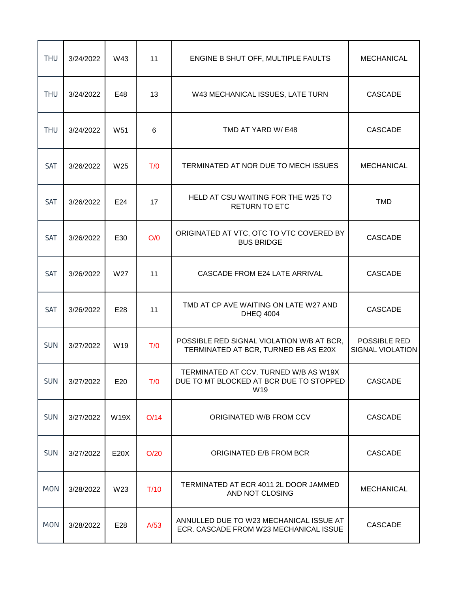| <b>THU</b> | 3/24/2022 | W43             | 11   | ENGINE B SHUT OFF, MULTIPLE FAULTS                                                      | <b>MECHANICAL</b>                       |
|------------|-----------|-----------------|------|-----------------------------------------------------------------------------------------|-----------------------------------------|
| <b>THU</b> | 3/24/2022 | E48             | 13   | W43 MECHANICAL ISSUES, LATE TURN                                                        | <b>CASCADE</b>                          |
| <b>THU</b> | 3/24/2022 | W51             | 6    | TMD AT YARD W/ E48                                                                      | <b>CASCADE</b>                          |
| SAT        | 3/26/2022 | W <sub>25</sub> | T/0  | TERMINATED AT NOR DUE TO MECH ISSUES                                                    | <b>MECHANICAL</b>                       |
| SAT        | 3/26/2022 | E24             | 17   | HELD AT CSU WAITING FOR THE W25 TO<br><b>RETURN TO ETC</b>                              | <b>TMD</b>                              |
| <b>SAT</b> | 3/26/2022 | E30             | O/O  | ORIGINATED AT VTC, OTC TO VTC COVERED BY<br><b>BUS BRIDGE</b>                           | <b>CASCADE</b>                          |
| SAT        | 3/26/2022 | W27             | 11   | CASCADE FROM E24 LATE ARRIVAL                                                           | <b>CASCADE</b>                          |
| SAT        | 3/26/2022 | E28             | 11   | TMD AT CP AVE WAITING ON LATE W27 AND<br><b>DHEQ 4004</b>                               | <b>CASCADE</b>                          |
| <b>SUN</b> | 3/27/2022 | W19             | T/0  | POSSIBLE RED SIGNAL VIOLATION W/B AT BCR,<br>TERMINATED AT BCR, TURNED EB AS E20X       | POSSIBLE RED<br><b>SIGNAL VIOLATION</b> |
| <b>SUN</b> | 3/27/2022 | E20             | T/0  | TERMINATED AT CCV. TURNED W/B AS W19X<br>DUE TO MT BLOCKED AT BCR DUE TO STOPPED<br>W19 | <b>CASCADE</b>                          |
| <b>SUN</b> | 3/27/2022 | <b>W19X</b>     | O/14 | ORIGINATED W/B FROM CCV                                                                 | <b>CASCADE</b>                          |
| <b>SUN</b> | 3/27/2022 | E20X            | O/20 | ORIGINATED E/B FROM BCR                                                                 | <b>CASCADE</b>                          |
| <b>MON</b> | 3/28/2022 | W23             | T/10 | TERMINATED AT ECR 4011 2L DOOR JAMMED<br>AND NOT CLOSING                                | <b>MECHANICAL</b>                       |
| <b>MON</b> | 3/28/2022 | E28             | A/53 | ANNULLED DUE TO W23 MECHANICAL ISSUE AT<br>ECR. CASCADE FROM W23 MECHANICAL ISSUE       | CASCADE                                 |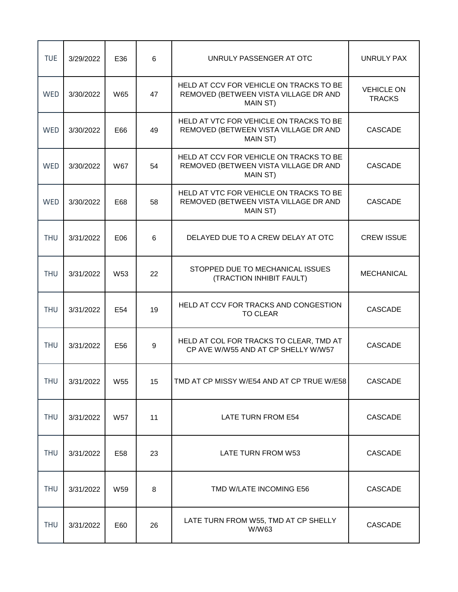| <b>TUE</b> | 3/29/2022 | E36             | $6\phantom{1}$ | UNRULY PASSENGER AT OTC                                                                      | UNRULY PAX                         |
|------------|-----------|-----------------|----------------|----------------------------------------------------------------------------------------------|------------------------------------|
| <b>WED</b> | 3/30/2022 | W65             | 47             | HELD AT CCV FOR VEHICLE ON TRACKS TO BE<br>REMOVED (BETWEEN VISTA VILLAGE DR AND<br>MAIN ST) | <b>VEHICLE ON</b><br><b>TRACKS</b> |
| WED        | 3/30/2022 | E66             | 49             | HELD AT VTC FOR VEHICLE ON TRACKS TO BE<br>REMOVED (BETWEEN VISTA VILLAGE DR AND<br>MAIN ST) | <b>CASCADE</b>                     |
| <b>WED</b> | 3/30/2022 | <b>W67</b>      | 54             | HELD AT CCV FOR VEHICLE ON TRACKS TO BE<br>REMOVED (BETWEEN VISTA VILLAGE DR AND<br>MAIN ST) | <b>CASCADE</b>                     |
| <b>WED</b> | 3/30/2022 | E68             | 58             | HELD AT VTC FOR VEHICLE ON TRACKS TO BE<br>REMOVED (BETWEEN VISTA VILLAGE DR AND<br>MAIN ST) | <b>CASCADE</b>                     |
| <b>THU</b> | 3/31/2022 | E06             | 6              | DELAYED DUE TO A CREW DELAY AT OTC                                                           | <b>CREW ISSUE</b>                  |
| <b>THU</b> | 3/31/2022 | W <sub>53</sub> | 22             | STOPPED DUE TO MECHANICAL ISSUES<br>(TRACTION INHIBIT FAULT)                                 | <b>MECHANICAL</b>                  |
| <b>THU</b> | 3/31/2022 | E54             | 19             | HELD AT CCV FOR TRACKS AND CONGESTION<br><b>TO CLEAR</b>                                     | <b>CASCADE</b>                     |
| <b>THU</b> | 3/31/2022 | E56             | $9\,$          | HELD AT COL FOR TRACKS TO CLEAR, TMD AT<br>CP AVE W/W55 AND AT CP SHELLY W/W57               | <b>CASCADE</b>                     |
| <b>THU</b> | 3/31/2022 | W55             | 15             | TMD AT CP MISSY W/E54 AND AT CP TRUE W/E58                                                   | CASCADE                            |
| <b>THU</b> | 3/31/2022 | <b>W57</b>      | 11             | LATE TURN FROM E54                                                                           | <b>CASCADE</b>                     |
| <b>THU</b> | 3/31/2022 | E58             | 23             | LATE TURN FROM W53                                                                           | <b>CASCADE</b>                     |
| <b>THU</b> | 3/31/2022 | W59             | 8              | TMD W/LATE INCOMING E56                                                                      | <b>CASCADE</b>                     |
| <b>THU</b> | 3/31/2022 | E60             | 26             | LATE TURN FROM W55, TMD AT CP SHELLY<br>W/W63                                                | CASCADE                            |